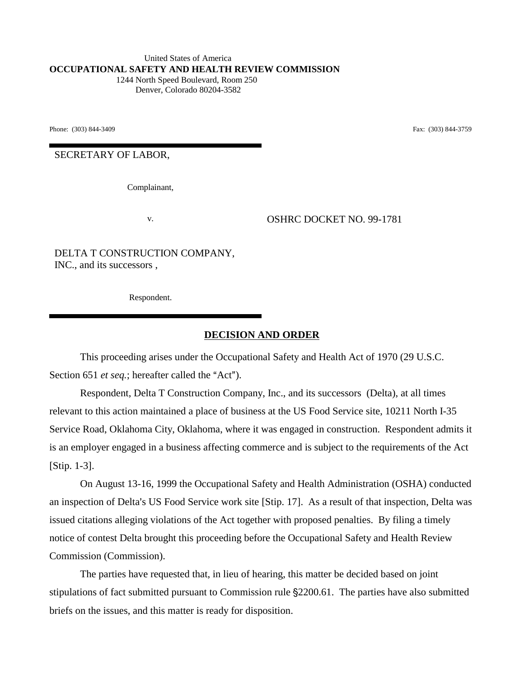United States of America **OCCUPATIONAL SAFETY AND HEALTH REVIEW COMMISSION** 1244 North Speed Boulevard, Room 250 Denver, Colorado 80204-3582

Phone: (303) 844-3409 **Fax:** (303) 844-3759

SECRETARY OF LABOR,

Complainant,

v. OSHRC DOCKET NO. 99-1781

DELTA T CONSTRUCTION COMPANY, INC., and its successors ,

Respondent.

#### **DECISION AND ORDER**

This proceeding arises under the Occupational Safety and Health Act of 1970 (29 U.S.C. Section 651 *et seq.*; hereafter called the "Act").

Respondent, Delta T Construction Company, Inc., and its successors (Delta), at all times relevant to this action maintained a place of business at the US Food Service site, 10211 North I-35 Service Road, Oklahoma City, Oklahoma, where it was engaged in construction. Respondent admits it is an employer engaged in a business affecting commerce and is subject to the requirements of the Act [Stip. 1-3].

On August 13-16, 1999 the Occupational Safety and Health Administration (OSHA) conducted an inspection of Delta's US Food Service work site [Stip. 17]. As a result of that inspection, Delta was issued citations alleging violations of the Act together with proposed penalties. By filing a timely notice of contest Delta brought this proceeding before the Occupational Safety and Health Review Commission (Commission).

The parties have requested that, in lieu of hearing, this matter be decided based on joint stipulations of fact submitted pursuant to Commission rule 2200.61. The parties have also submitted briefs on the issues, and this matter is ready for disposition.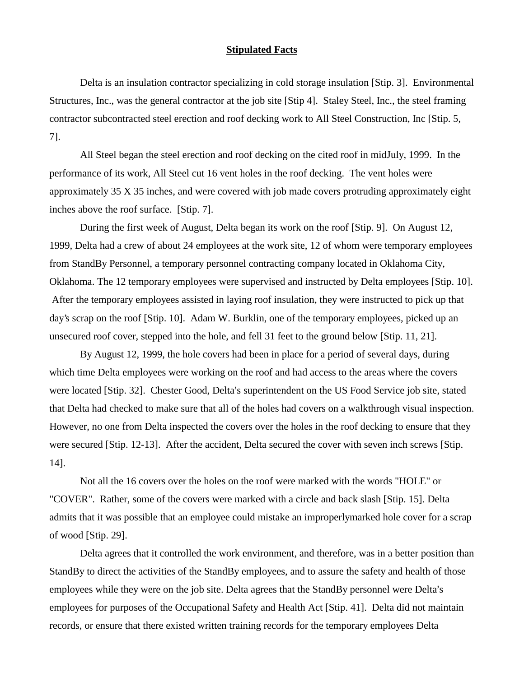### **Stipulated Facts**

 Delta is an insulation contractor specializing in cold storage insulation [Stip. 3]. Environmental Structures, Inc., was the general contractor at the job site [Stip 4]. Staley Steel, Inc., the steel framing contractor subcontracted steel erection and roof decking work to All Steel Construction, Inc [Stip. 5, 7].

All Steel began the steel erection and roof decking on the cited roof in midJuly, 1999. In the performance of its work, All Steel cut 16 vent holes in the roof decking. The vent holes were approximately 35 X 35 inches, and were covered with job made covers protruding approximately eight inches above the roof surface. [Stip. 7].

During the first week of August, Delta began its work on the roof [Stip. 9]. On August 12, 1999, Delta had a crew of about 24 employees at the work site, 12 of whom were temporary employees from StandBy Personnel, a temporary personnel contracting company located in Oklahoma City, Oklahoma. The 12 temporary employees were supervised and instructed by Delta employees [Stip. 10]. After the temporary employees assisted in laying roof insulation, they were instructed to pick up that day's scrap on the roof [Stip. 10]. Adam W. Burklin, one of the temporary employees, picked up an unsecured roof cover, stepped into the hole, and fell 31 feet to the ground below [Stip. 11, 21].

By August 12, 1999, the hole covers had been in place for a period of several days, during which time Delta employees were working on the roof and had access to the areas where the covers were located [Stip. 32]. Chester Good, Delta's superintendent on the US Food Service job site, stated that Delta had checked to make sure that all of the holes had covers on a walkthrough visual inspection. However, no one from Delta inspected the covers over the holes in the roof decking to ensure that they were secured [Stip. 12-13]. After the accident, Delta secured the cover with seven inch screws [Stip. 14].

Not all the 16 covers over the holes on the roof were marked with the words "HOLE" or "COVER". Rather, some of the covers were marked with a circle and back slash [Stip. 15]. Delta admits that it was possible that an employee could mistake an improperlymarked hole cover for a scrap of wood [Stip. 29].

Delta agrees that it controlled the work environment, and therefore, was in a better position than StandBy to direct the activities of the StandBy employees, and to assure the safety and health of those employees while they were on the job site. Delta agrees that the StandBy personnel were Delta's employees for purposes of the Occupational Safety and Health Act [Stip. 41]. Delta did not maintain records, or ensure that there existed written training records for the temporary employees Delta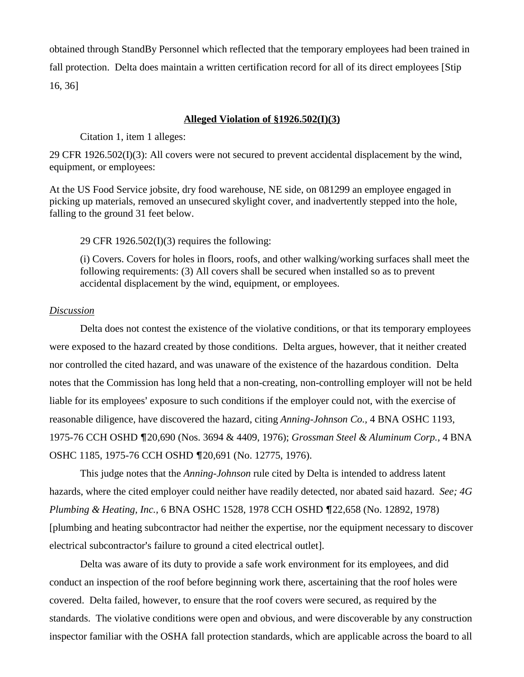obtained through StandBy Personnel which reflected that the temporary employees had been trained in fall protection. Delta does maintain a written certification record for all of its direct employees [Stip 16, 36]

#### **Alleged Violation of §1926.502(I)(3)**

Citation 1, item 1 alleges:

29 CFR 1926.502(I)(3): All covers were not secured to prevent accidental displacement by the wind, equipment, or employees:

At the US Food Service jobsite, dry food warehouse, NE side, on 081299 an employee engaged in picking up materials, removed an unsecured skylight cover, and inadvertently stepped into the hole, falling to the ground 31 feet below.

29 CFR 1926.502(I)(3) requires the following:

(i) Covers. Covers for holes in floors, roofs, and other walking/working surfaces shall meet the following requirements: (3) All covers shall be secured when installed so as to prevent accidental displacement by the wind, equipment, or employees.

# *Discussion*

Delta does not contest the existence of the violative conditions, or that its temporary employees were exposed to the hazard created by those conditions. Delta argues, however, that it neither created nor controlled the cited hazard, and was unaware of the existence of the hazardous condition. Delta notes that the Commission has long held that a non-creating, non-controlling employer will not be held liable for its employees' exposure to such conditions if the employer could not, with the exercise of reasonable diligence, have discovered the hazard, citing *Anning-Johnson Co.,* 4 BNA OSHC 1193, 1975-76 CCH OSHD 20,690 (Nos. 3694 & 4409, 1976); *Grossman Steel & Aluminum Corp.,* 4 BNA OSHC 1185, 1975-76 CCH OSHD 20,691 (No. 12775, 1976).

This judge notes that the *Anning-Johnson* rule cited by Delta is intended to address latent hazards, where the cited employer could neither have readily detected, nor abated said hazard. *See; 4G Plumbing & Heating, Inc., 6 BNA OSHC 1528, 1978 CCH OSHD ¶22,658 (No. 12892, 1978)* [plumbing and heating subcontractor had neither the expertise, nor the equipment necessary to discover electrical subcontractor's failure to ground a cited electrical outlet].

Delta was aware of its duty to provide a safe work environment for its employees, and did conduct an inspection of the roof before beginning work there, ascertaining that the roof holes were covered. Delta failed, however, to ensure that the roof covers were secured, as required by the standards. The violative conditions were open and obvious, and were discoverable by any construction inspector familiar with the OSHA fall protection standards, which are applicable across the board to all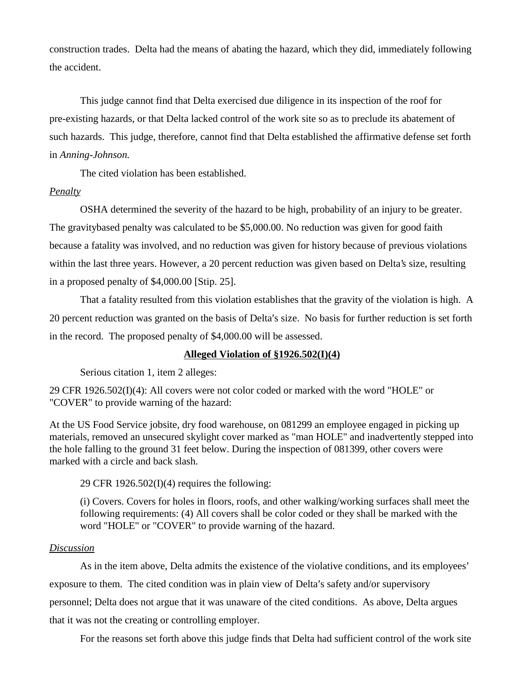construction trades. Delta had the means of abating the hazard, which they did, immediately following the accident.

This judge cannot find that Delta exercised due diligence in its inspection of the roof for pre-existing hazards, or that Delta lacked control of the work site so as to preclude its abatement of such hazards. This judge, therefore, cannot find that Delta established the affirmative defense set forth in *Anning-Johnson.*

The cited violation has been established.

# *Penalty*

OSHA determined the severity of the hazard to be high, probability of an injury to be greater. The gravitybased penalty was calculated to be \$5,000.00. No reduction was given for good faith because a fatality was involved, and no reduction was given for history because of previous violations within the last three years. However, a 20 percent reduction was given based on Delta's size, resulting in a proposed penalty of \$4,000.00 [Stip. 25].

That a fatality resulted from this violation establishes that the gravity of the violation is high. A 20 percent reduction was granted on the basis of Delta's size. No basis for further reduction is set forth in the record. The proposed penalty of \$4,000.00 will be assessed.

# **Alleged Violation of §1926.502(I)(4)**

Serious citation 1, item 2 alleges:

29 CFR 1926.502(I)(4): All covers were not color coded or marked with the word "HOLE" or "COVER" to provide warning of the hazard:

At the US Food Service jobsite, dry food warehouse, on 081299 an employee engaged in picking up materials, removed an unsecured skylight cover marked as "man HOLE" and inadvertently stepped into the hole falling to the ground 31 feet below. During the inspection of 081399, other covers were marked with a circle and back slash.

29 CFR 1926.502(I)(4) requires the following:

(i) Covers. Covers for holes in floors, roofs, and other walking/working surfaces shall meet the following requirements: (4) All covers shall be color coded or they shall be marked with the word "HOLE" or "COVER" to provide warning of the hazard.

# *Discussion*

As in the item above, Delta admits the existence of the violative conditions, and its employees exposure to them. The cited condition was in plain view of Delta's safety and/or supervisory personnel; Delta does not argue that it was unaware of the cited conditions. As above, Delta argues that it was not the creating or controlling employer.

For the reasons set forth above this judge finds that Delta had sufficient control of the work site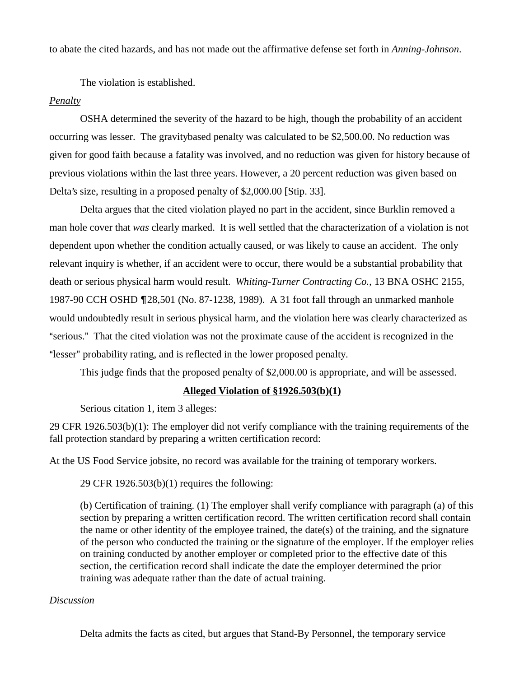to abate the cited hazards, and has not made out the affirmative defense set forth in *Anning-Johnson*.

The violation is established.

# *Penalty*

OSHA determined the severity of the hazard to be high, though the probability of an accident occurring was lesser. The gravitybased penalty was calculated to be \$2,500.00. No reduction was given for good faith because a fatality was involved, and no reduction was given for history because of previous violations within the last three years. However, a 20 percent reduction was given based on Delta's size, resulting in a proposed penalty of \$2,000.00 [Stip. 33].

Delta argues that the cited violation played no part in the accident, since Burklin removed a man hole cover that *was* clearly marked. It is well settled that the characterization of a violation is not dependent upon whether the condition actually caused, or was likely to cause an accident. The only relevant inquiry is whether, if an accident were to occur, there would be a substantial probability that death or serious physical harm would result. *Whiting-Turner Contracting Co.,* 13 BNA OSHC 2155, 1987-90 CCH OSHD ¶28,501 (No. 87-1238, 1989). A 31 foot fall through an unmarked manhole would undoubtedly result in serious physical harm, and the violation here was clearly characterized as "serious." That the cited violation was not the proximate cause of the accident is recognized in the "lesser" probability rating, and is reflected in the lower proposed penalty.

This judge finds that the proposed penalty of \$2,000.00 is appropriate, and will be assessed.

# **Alleged Violation of §1926.503(b)(1)**

Serious citation 1, item 3 alleges:

29 CFR 1926.503(b)(1): The employer did not verify compliance with the training requirements of the fall protection standard by preparing a written certification record:

At the US Food Service jobsite, no record was available for the training of temporary workers.

29 CFR 1926.503(b)(1) requires the following:

(b) Certification of training. (1) The employer shall verify compliance with paragraph (a) of this section by preparing a written certification record. The written certification record shall contain the name or other identity of the employee trained, the date(s) of the training, and the signature of the person who conducted the training or the signature of the employer. If the employer relies on training conducted by another employer or completed prior to the effective date of this section, the certification record shall indicate the date the employer determined the prior training was adequate rather than the date of actual training.

### *Discussion*

Delta admits the facts as cited, but argues that Stand-By Personnel, the temporary service